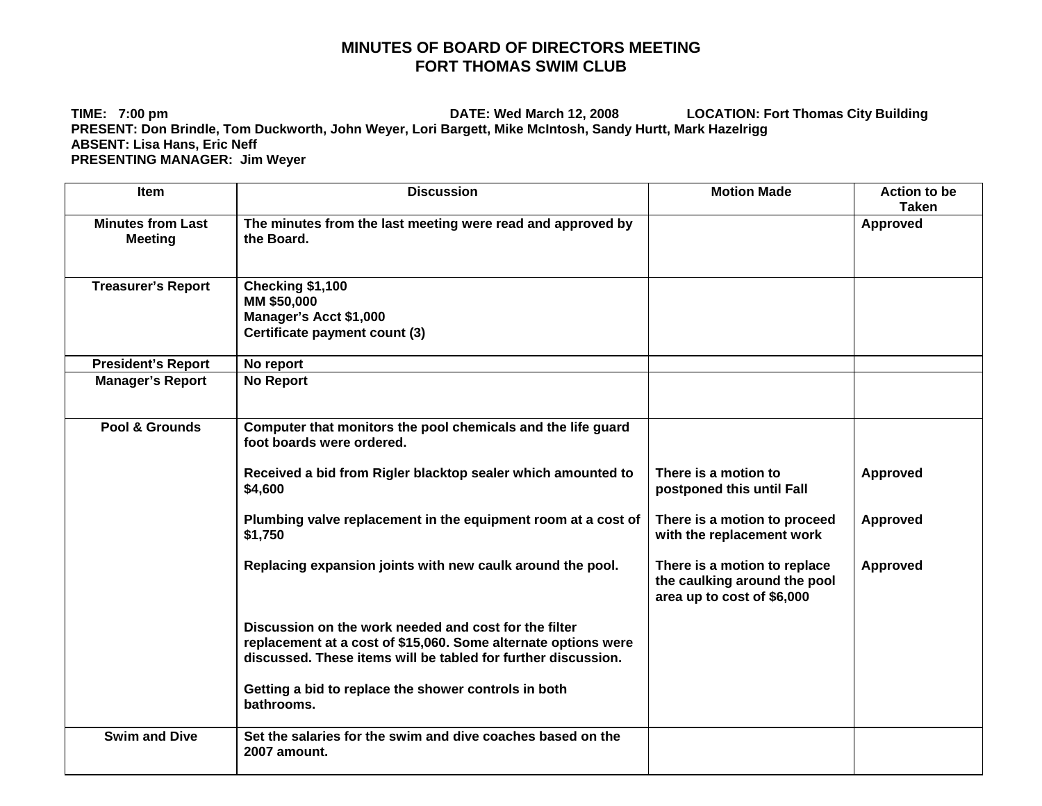## **MINUTES OF BOARD OF DIRECTORS MEETING FORT THOMAS SWIM CLUB**

**TIME: 7:00 pm DATE: Wed March 12, 2008 LOCATION: Fort Thomas City Building PRESENT: Don Brindle, Tom Duckworth, John Weyer, Lori Bargett, Mike McIntosh, Sandy Hurtt, Mark Hazelrigg ABSENT: Lisa Hans, Eric Neff PRESENTING MANAGER: Jim Weyer** 

| <b>Item</b>                                | <b>Discussion</b>                                                                                                                                                                        | <b>Motion Made</b>                                                                         | <b>Action to be</b><br><b>Taken</b> |
|--------------------------------------------|------------------------------------------------------------------------------------------------------------------------------------------------------------------------------------------|--------------------------------------------------------------------------------------------|-------------------------------------|
| <b>Minutes from Last</b><br><b>Meeting</b> | The minutes from the last meeting were read and approved by<br>the Board.                                                                                                                |                                                                                            | Approved                            |
| <b>Treasurer's Report</b>                  | Checking \$1,100<br>MM \$50,000<br>Manager's Acct \$1,000<br>Certificate payment count (3)                                                                                               |                                                                                            |                                     |
| <b>President's Report</b>                  | No report                                                                                                                                                                                |                                                                                            |                                     |
| <b>Manager's Report</b>                    | <b>No Report</b>                                                                                                                                                                         |                                                                                            |                                     |
| Pool & Grounds                             | Computer that monitors the pool chemicals and the life guard<br>foot boards were ordered.                                                                                                |                                                                                            |                                     |
|                                            | Received a bid from Rigler blacktop sealer which amounted to<br>\$4,600                                                                                                                  | There is a motion to<br>postponed this until Fall                                          | Approved                            |
|                                            | Plumbing valve replacement in the equipment room at a cost of<br>\$1,750                                                                                                                 | There is a motion to proceed<br>with the replacement work                                  | Approved                            |
|                                            | Replacing expansion joints with new caulk around the pool.                                                                                                                               | There is a motion to replace<br>the caulking around the pool<br>area up to cost of \$6,000 | <b>Approved</b>                     |
|                                            | Discussion on the work needed and cost for the filter<br>replacement at a cost of \$15,060. Some alternate options were<br>discussed. These items will be tabled for further discussion. |                                                                                            |                                     |
|                                            | Getting a bid to replace the shower controls in both<br>bathrooms.                                                                                                                       |                                                                                            |                                     |
| <b>Swim and Dive</b>                       | Set the salaries for the swim and dive coaches based on the<br>2007 amount.                                                                                                              |                                                                                            |                                     |